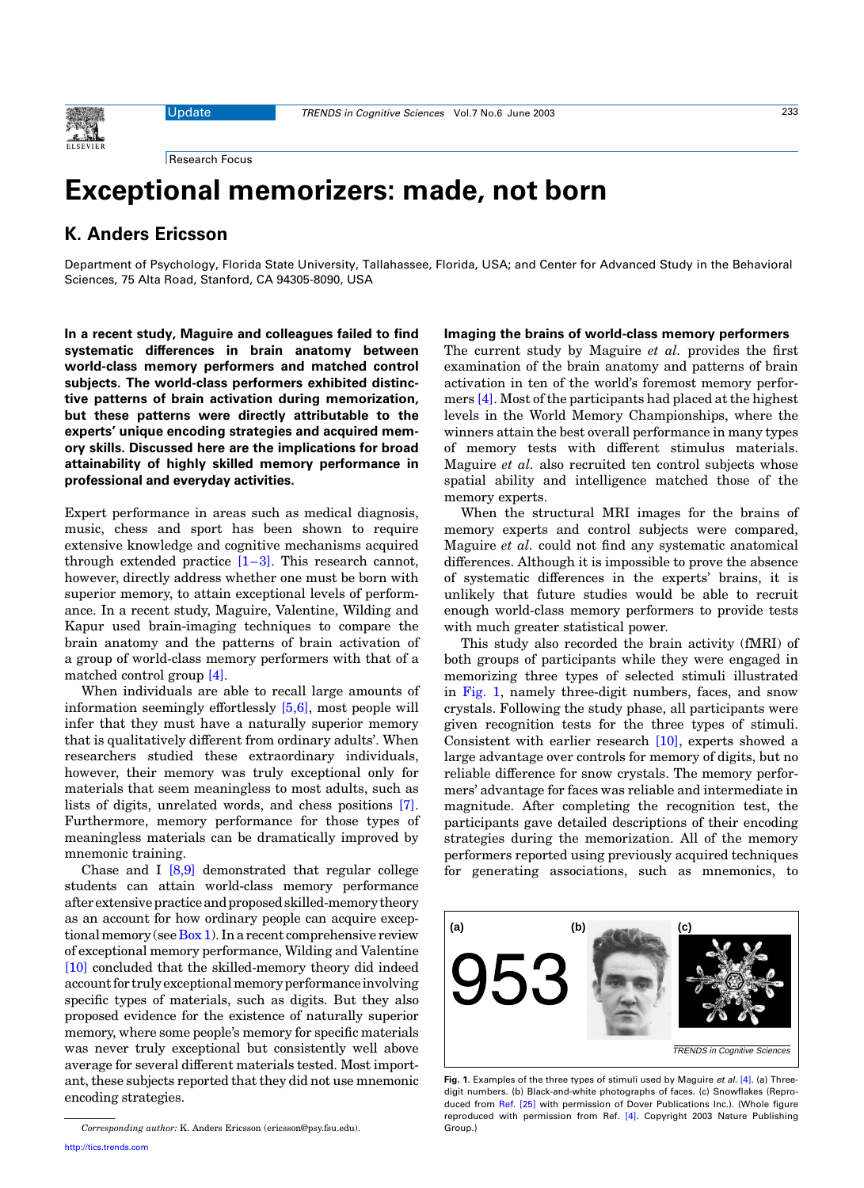Update TRENDS in Cognitive Sciences Vol.7 No.6 June 2003 233

|Research Focus

## Exceptional memorizers: made, not born

## K. Anders Ericsson

Department of Psychology, Florida State University, Tallahassee, Florida, USA; and Center for Advanced Study in the Behavioral Sciences, 75 Alta Road, Stanford, CA 94305-8090, USA

In a recent study, Maguire and colleagues failed to find systematic differences in brain anatomy between world-class memory performers and matched control subjects. The world-class performers exhibited distinctive patterns of brain activation during memorization, but these patterns were directly attributable to the experts' unique encoding strategies and acquired memory skills. Discussed here are the implications for broad attainability of highly skilled memory performance in professional and everyday activities.

Expert performance in areas such as medical diagnosis, music, chess and sport has been shown to require extensive knowledge and cognitive mechanisms acquired through extended practice  $[1-3]$ . This research cannot, however, directly address whether one must be born with superior memory, to attain exceptional levels of performance. In a recent study, Maguire, Valentine, Wilding and Kapur used brain-imaging techniques to compare the brain anatomy and the patterns of brain activation of a group of world-class memory performers with that of a matched control group [\[4\].](#page-2-0)

When individuals are able to recall large amounts of information seemingly effortlessly [\[5,6\],](#page-2-0) most people will infer that they must have a naturally superior memory that is qualitatively different from ordinary adults'. When researchers studied these extraordinary individuals, however, their memory was truly exceptional only for materials that seem meaningless to most adults, such as lists of digits, unrelated words, and chess positions [\[7\]](#page-2-0). Furthermore, memory performance for those types of meaningless materials can be dramatically improved by mnemonic training.

Chase and I  $[8,9]$  demonstrated that regular college students can attain world-class memory performance after extensive practice and proposed skilled-memory theory as an account for how ordinary people can acquire exceptional memory (see  $\frac{Box}{1}$ ). In a recent comprehensive review of exceptional memory performance, Wilding and Valentine [\[10\]](#page-2-0) concluded that the skilled-memory theory did indeed account for truly exceptional memory performance involving specific types of materials, such as digits. But they also proposed evidence for the existence of naturally superior memory, where some people's memory for specific materials was never truly exceptional but consistently well above average for several different materials tested. Most important, these subjects reported that they did not use mnemonic encoding strategies.

The current study by Maguire *et al.* provides the first examination of the brain anatomy and patterns of brain activation in ten of the world's foremost memory performers [\[4\].](#page-2-0) Most of the participants had placed at the highest levels in the World Memory Championships, where the winners attain the best overall performance in many types of memory tests with different stimulus materials. Maguire et al. also recruited ten control subjects whose spatial ability and intelligence matched those of the memory experts.

Imaging the brains of world-class memory performers

When the structural MRI images for the brains of memory experts and control subjects were compared, Maguire et al. could not find any systematic anatomical differences. Although it is impossible to prove the absence of systematic differences in the experts' brains, it is unlikely that future studies would be able to recruit enough world-class memory performers to provide tests with much greater statistical power.

This study also recorded the brain activity (fMRI) of both groups of participants while they were engaged in memorizing three types of selected stimuli illustrated in Fig. 1, namely three-digit numbers, faces, and snow crystals. Following the study phase, all participants were given recognition tests for the three types of stimuli. Consistent with earlier research [\[10\]](#page-2-0), experts showed a large advantage over controls for memory of digits, but no reliable difference for snow crystals. The memory performers' advantage for faces was reliable and intermediate in magnitude. After completing the recognition test, the participants gave detailed descriptions of their encoding strategies during the memorization. All of the memory performers reported using previously acquired techniques for generating associations, such as mnemonics, to



Fig. 1. Examples of the three types of stimuli used by Maguire et al. [\[4\].](#page-2-0) (a) Threedigit numbers. (b) Black-and-white photographs of faces. (c) Snowflakes (Reproduced from [Ref. \[25\]](#page-2-0) with permission of Dover Publications Inc.). (Whole figure reproduced with permission from Ref. [\[4\]](#page-2-0). Copyright 2003 Nature Publishing Group.)

Corresponding author: K. Anders Ericsson (ericsson@psy.fsu.edu).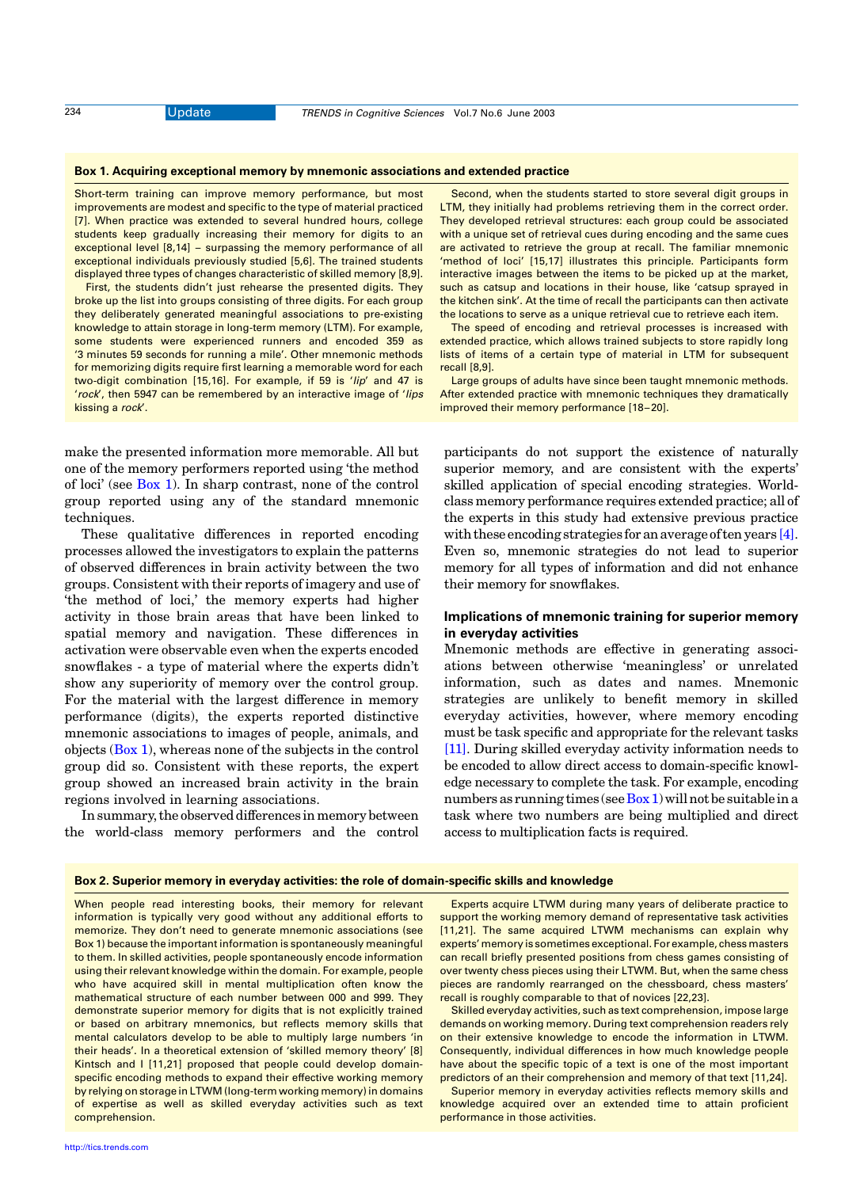#### <span id="page-1-0"></span>Box 1. Acquiring exceptional memory by mnemonic associations and extended practice

Short-term training can improve memory performance, but most improvements are modest and specific to the type of material practiced [7]. When practice was extended to several hundred hours, college students keep gradually increasing their memory for digits to an exceptional level [8,14] – surpassing the memory performance of all exceptional individuals previously studied [5,6]. The trained students displayed three types of changes characteristic of skilled memory [8,9].

First, the students didn't just rehearse the presented digits. They broke up the list into groups consisting of three digits. For each group they deliberately generated meaningful associations to pre-existing knowledge to attain storage in long-term memory (LTM). For example, some students were experienced runners and encoded 359 as '3 minutes 59 seconds for running a mile'. Other mnemonic methods for memorizing digits require first learning a memorable word for each two-digit combination [15,16]. For example, if 59 is 'lip' and 47 is 'rock', then 5947 can be remembered by an interactive image of 'lips kissing a rock'.

make the presented information more memorable. All but one of the memory performers reported using 'the method of loci' (see Box 1). In sharp contrast, none of the control group reported using any of the standard mnemonic techniques.

These qualitative differences in reported encoding processes allowed the investigators to explain the patterns of observed differences in brain activity between the two groups. Consistent with their reports of imagery and use of 'the method of loci,' the memory experts had higher activity in those brain areas that have been linked to spatial memory and navigation. These differences in activation were observable even when the experts encoded snowflakes - a type of material where the experts didn't show any superiority of memory over the control group. For the material with the largest difference in memory performance (digits), the experts reported distinctive mnemonic associations to images of people, animals, and objects (Box 1), whereas none of the subjects in the control group did so. Consistent with these reports, the expert group showed an increased brain activity in the brain regions involved in learning associations.

In summary, the observed differences in memorybetween the world-class memory performers and the control

Second, when the students started to store several digit groups in LTM, they initially had problems retrieving them in the correct order. They developed retrieval structures: each group could be associated with a unique set of retrieval cues during encoding and the same cues are activated to retrieve the group at recall. The familiar mnemonic 'method of loci' [15,17] illustrates this principle. Participants form interactive images between the items to be picked up at the market, such as catsup and locations in their house, like 'catsup sprayed in the kitchen sink'. At the time of recall the participants can then activate the locations to serve as a unique retrieval cue to retrieve each item.

The speed of encoding and retrieval processes is increased with extended practice, which allows trained subjects to store rapidly long lists of items of a certain type of material in LTM for subsequent recall [8,9].

Large groups of adults have since been taught mnemonic methods. After extended practice with mnemonic techniques they dramatically improved their memory performance [18–20].

participants do not support the existence of naturally superior memory, and are consistent with the experts' skilled application of special encoding strategies. Worldclass memory performance requires extended practice; all of the experts in this study had extensive previous practice with these encoding strategies for an average of ten years  $[4]$ . Even so, mnemonic strategies do not lead to superior memory for all types of information and did not enhance their memory for snowflakes.

### Implications of mnemonic training for superior memory in everyday activities

Mnemonic methods are effective in generating associations between otherwise 'meaningless' or unrelated information, such as dates and names. Mnemonic strategies are unlikely to benefit memory in skilled everyday activities, however, where memory encoding must be task specific and appropriate for the relevant tasks [\[11\].](#page-2-0) During skilled everyday activity information needs to be encoded to allow direct access to domain-specific knowledge necessary to complete the task. For example, encoding numbers as running times (see  $Box 1$ ) will not be suitable in a task where two numbers are being multiplied and direct access to multiplication facts is required.

#### Box 2. Superior memory in everyday activities: the role of domain-specific skills and knowledge

When people read interesting books, their memory for relevant information is typically very good without any additional efforts to memorize. They don't need to generate mnemonic associations (see Box 1) because the important information is spontaneously meaningful to them. In skilled activities, people spontaneously encode information using their relevant knowledge within the domain. For example, people who have acquired skill in mental multiplication often know the mathematical structure of each number between 000 and 999. They demonstrate superior memory for digits that is not explicitly trained or based on arbitrary mnemonics, but reflects memory skills that mental calculators develop to be able to multiply large numbers 'in their heads'. In a theoretical extension of 'skilled memory theory' [8] Kintsch and I [11,21] proposed that people could develop domainspecific encoding methods to expand their effective working memory by relying on storage in LTWM (long-term working memory) in domains of expertise as well as skilled everyday activities such as text comprehension.

Experts acquire LTWM during many years of deliberate practice to support the working memory demand of representative task activities [11,21]. The same acquired LTWM mechanisms can explain why experts'memory is sometimes exceptional. For example, chess masters can recall briefly presented positions from chess games consisting of over twenty chess pieces using their LTWM. But, when the same chess pieces are randomly rearranged on the chessboard, chess masters' recall is roughly comparable to that of novices [22,23].

Skilled everyday activities, such as text comprehension, impose large demands on working memory. During text comprehension readers rely on their extensive knowledge to encode the information in LTWM. Consequently, individual differences in how much knowledge people have about the specific topic of a text is one of the most important predictors of an their comprehension and memory of that text [11,24].

Superior memory in everyday activities reflects memory skills and knowledge acquired over an extended time to attain proficient performance in those activities.